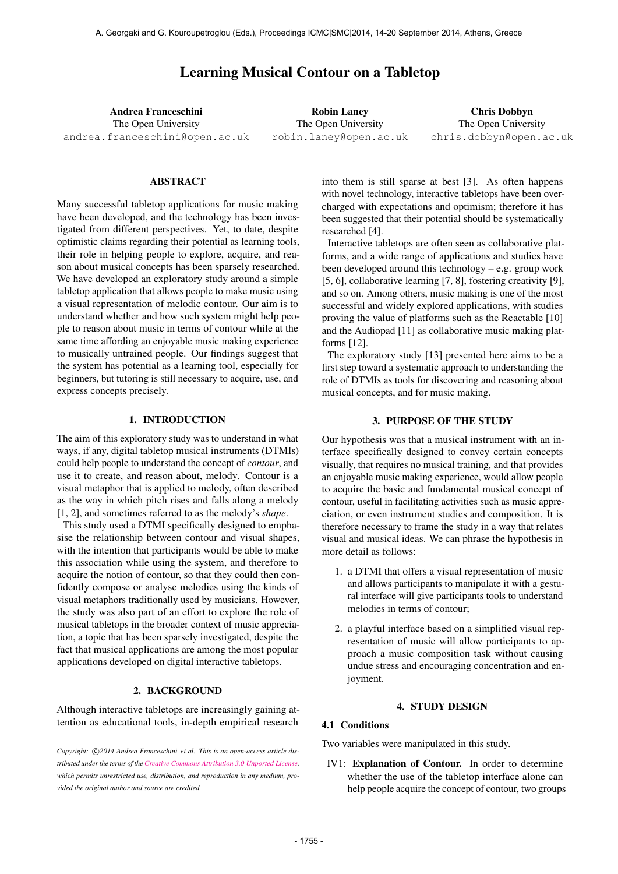# Learning Musical Contour on a Tabletop

Andrea Franceschini The Open University [andrea.franceschini@open.ac.uk](mailto:andrea.franceschini@open.ac.uk)

Robin Laney The Open University [robin.laney@open.ac.uk](mailto:robin.laney@open.ac.uk)

Chris Dobbyn The Open University [chris.dobbyn@open.ac.uk](mailto:chris.dobbyn@open.ac.uk)

#### ABSTRACT

Many successful tabletop applications for music making have been developed, and the technology has been investigated from different perspectives. Yet, to date, despite optimistic claims regarding their potential as learning tools, their role in helping people to explore, acquire, and reason about musical concepts has been sparsely researched. We have developed an exploratory study around a simple tabletop application that allows people to make music using a visual representation of melodic contour. Our aim is to understand whether and how such system might help people to reason about music in terms of contour while at the same time affording an enjoyable music making experience to musically untrained people. Our findings suggest that the system has potential as a learning tool, especially for beginners, but tutoring is still necessary to acquire, use, and express concepts precisely.

#### 1. INTRODUCTION

The aim of this exploratory study was to understand in what ways, if any, digital tabletop musical instruments (DTMIs) could help people to understand the concept of *contour*, and use it to create, and reason about, melody. Contour is a visual metaphor that is applied to melody, often described as the way in which pitch rises and falls along a melody [1, 2], and sometimes referred to as the melody's *shape*.

This study used a DTMI specifically designed to emphasise the relationship between contour and visual shapes, with the intention that participants would be able to make this association while using the system, and therefore to acquire the notion of contour, so that they could then confidently compose or analyse melodies using the kinds of visual metaphors traditionally used by musicians. However, the study was also part of an effort to explore the role of musical tabletops in the broader context of music appreciation, a topic that has been sparsely investigated, despite the fact that musical applications are among the most popular applications developed on digital interactive tabletops.

# 2. BACKGROUND

Although interactive tabletops are increasingly gaining attention as educational tools, in-depth empirical research

Copyright: C)2014 Andrea Franceschini et al. This is an open-access article dis*tributed under the terms of the [Creative Commons Attribution 3.0 Unported License,](http://creativecommons.org/licenses/by/3.0/) which permits unrestricted use, distribution, and reproduction in any medium, provided the original author and source are credited.*

into them is still sparse at best [3]. As often happens with novel technology, interactive tabletops have been overcharged with expectations and optimism; therefore it has been suggested that their potential should be systematically researched [4].

Interactive tabletops are often seen as collaborative platforms, and a wide range of applications and studies have been developed around this technology – e.g. group work [5, 6], collaborative learning [7, 8], fostering creativity [9], and so on. Among others, music making is one of the most successful and widely explored applications, with studies proving the value of platforms such as the Reactable [10] and the Audiopad [11] as collaborative music making platforms [12].

The exploratory study [13] presented here aims to be a first step toward a systematic approach to understanding the role of DTMIs as tools for discovering and reasoning about musical concepts, and for music making.

#### 3. PURPOSE OF THE STUDY

Our hypothesis was that a musical instrument with an interface specifically designed to convey certain concepts visually, that requires no musical training, and that provides an enjoyable music making experience, would allow people to acquire the basic and fundamental musical concept of contour, useful in facilitating activities such as music appreciation, or even instrument studies and composition. It is therefore necessary to frame the study in a way that relates visual and musical ideas. We can phrase the hypothesis in more detail as follows:

- 1. a DTMI that offers a visual representation of music and allows participants to manipulate it with a gestural interface will give participants tools to understand melodies in terms of contour;
- 2. a playful interface based on a simplified visual representation of music will allow participants to approach a music composition task without causing undue stress and encouraging concentration and enjoyment.

#### 4. STUDY DESIGN

# 4.1 Conditions

Two variables were manipulated in this study.

IV1: Explanation of Contour. In order to determine whether the use of the tabletop interface alone can help people acquire the concept of contour, two groups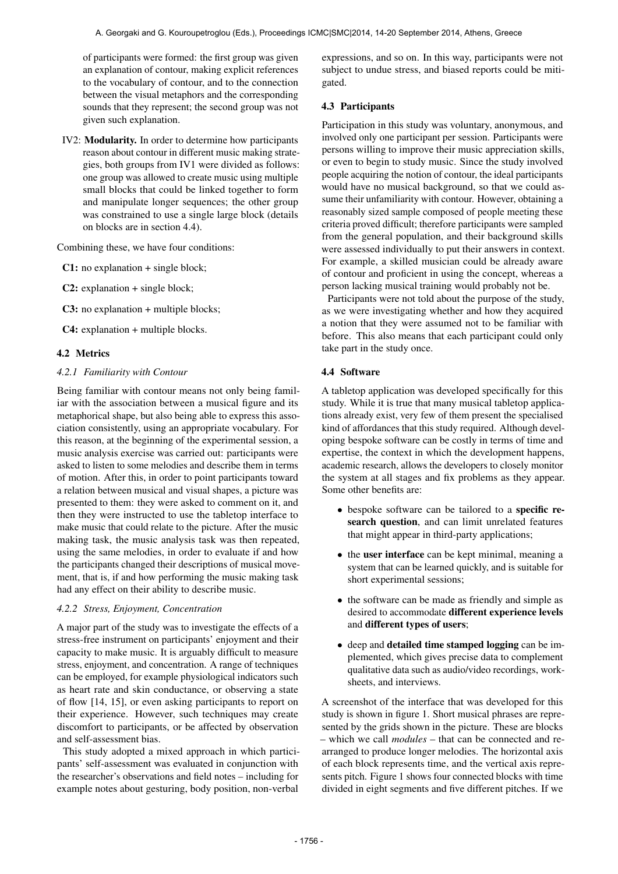of participants were formed: the first group was given an explanation of contour, making explicit references to the vocabulary of contour, and to the connection between the visual metaphors and the corresponding sounds that they represent; the second group was not given such explanation.

IV2: Modularity. In order to determine how participants reason about contour in different music making strategies, both groups from IV1 were divided as follows: one group was allowed to create music using multiple small blocks that could be linked together to form and manipulate longer sequences; the other group was constrained to use a single large block (details on blocks are in section 4.4).

Combining these, we have four conditions:

C1: no explanation + single block;

C2: explanation + single block;

C3: no explanation + multiple blocks;

C4: explanation + multiple blocks.

# 4.2 Metrics

#### *4.2.1 Familiarity with Contour*

Being familiar with contour means not only being familiar with the association between a musical figure and its metaphorical shape, but also being able to express this association consistently, using an appropriate vocabulary. For this reason, at the beginning of the experimental session, a music analysis exercise was carried out: participants were asked to listen to some melodies and describe them in terms of motion. After this, in order to point participants toward a relation between musical and visual shapes, a picture was presented to them: they were asked to comment on it, and then they were instructed to use the tabletop interface to make music that could relate to the picture. After the music making task, the music analysis task was then repeated, using the same melodies, in order to evaluate if and how the participants changed their descriptions of musical movement, that is, if and how performing the music making task had any effect on their ability to describe music.

#### *4.2.2 Stress, Enjoyment, Concentration*

A major part of the study was to investigate the effects of a stress-free instrument on participants' enjoyment and their capacity to make music. It is arguably difficult to measure stress, enjoyment, and concentration. A range of techniques can be employed, for example physiological indicators such as heart rate and skin conductance, or observing a state of flow [14, 15], or even asking participants to report on their experience. However, such techniques may create discomfort to participants, or be affected by observation and self-assessment bias.

This study adopted a mixed approach in which participants' self-assessment was evaluated in conjunction with the researcher's observations and field notes – including for example notes about gesturing, body position, non-verbal

expressions, and so on. In this way, participants were not subject to undue stress, and biased reports could be mitigated.

# 4.3 Participants

Participation in this study was voluntary, anonymous, and involved only one participant per session. Participants were persons willing to improve their music appreciation skills, or even to begin to study music. Since the study involved people acquiring the notion of contour, the ideal participants would have no musical background, so that we could assume their unfamiliarity with contour. However, obtaining a reasonably sized sample composed of people meeting these criteria proved difficult; therefore participants were sampled from the general population, and their background skills were assessed individually to put their answers in context. For example, a skilled musician could be already aware of contour and proficient in using the concept, whereas a person lacking musical training would probably not be.

Participants were not told about the purpose of the study, as we were investigating whether and how they acquired a notion that they were assumed not to be familiar with before. This also means that each participant could only take part in the study once.

# 4.4 Software

A tabletop application was developed specifically for this study. While it is true that many musical tabletop applications already exist, very few of them present the specialised kind of affordances that this study required. Although developing bespoke software can be costly in terms of time and expertise, the context in which the development happens, academic research, allows the developers to closely monitor the system at all stages and fix problems as they appear. Some other benefits are:

- bespoke software can be tailored to a **specific re**search question, and can limit unrelated features that might appear in third-party applications;
- the user interface can be kept minimal, meaning a system that can be learned quickly, and is suitable for short experimental sessions;
- the software can be made as friendly and simple as desired to accommodate different experience levels and different types of users;
- deep and detailed time stamped logging can be implemented, which gives precise data to complement qualitative data such as audio/video recordings, worksheets, and interviews.

A screenshot of the interface that was developed for this study is shown in figure 1. Short musical phrases are represented by the grids shown in the picture. These are blocks – which we call *modules* – that can be connected and rearranged to produce longer melodies. The horizontal axis of each block represents time, and the vertical axis represents pitch. Figure 1 shows four connected blocks with time divided in eight segments and five different pitches. If we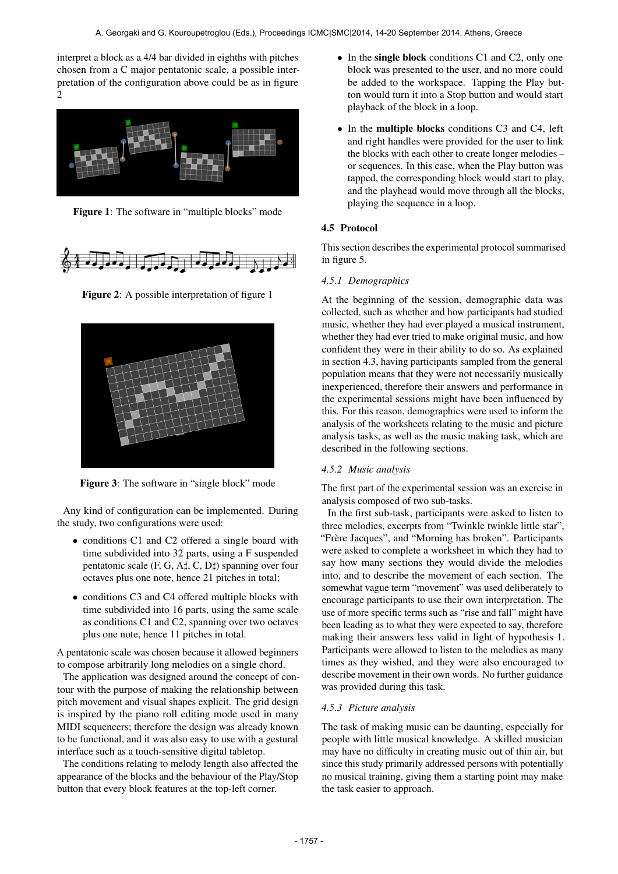interpret a block as a 4/4 bar divided in eighths with pitches chosen from a C major pentatonic scale, a possible interpretation of the configuration above could be as in figure 2



Figure 1: The software in "multiple blocks" mode



Figure 2: A possible interpretation of figure 1



Figure 3: The software in "single block" mode

Any kind of configuration can be implemented. During the study, two configurations were used:

- conditions C1 and C2 offered a single board with time subdivided into 32 parts, using a F suspended pentatonic scale  $(F, G, A\sharp, C, D\sharp)$  spanning over four octaves plus one note, hence 21 pitches in total;
- conditions C3 and C4 offered multiple blocks with time subdivided into 16 parts, using the same scale as conditions C1 and C2, spanning over two octaves plus one note, hence 11 pitches in total.

A pentatonic scale was chosen because it allowed beginners to compose arbitrarily long melodies on a single chord.

The application was designed around the concept of contour with the purpose of making the relationship between pitch movement and visual shapes explicit. The grid design is inspired by the piano roll editing mode used in many MIDI sequencers; therefore the design was already known to be functional, and it was also easy to use with a gestural interface such as a touch-sensitive digital tabletop.

The conditions relating to melody length also affected the appearance of the blocks and the behaviour of the Play/Stop button that every block features at the top-left corner.

- In the single block conditions C1 and C2, only one block was presented to the user, and no more could be added to the workspace. Tapping the Play button would turn it into a Stop button and would start playback of the block in a loop.
- In the multiple blocks conditions C3 and C4, left and right handles were provided for the user to link the blocks with each other to create longer melodies – or sequences. In this case, when the Play button was tapped, the corresponding block would start to play, and the playhead would move through all the blocks, playing the sequence in a loop.

# 4.5 Protocol

This section describes the experimental protocol summarised in figure 5.

# *4.5.1 Demographics*

At the beginning of the session, demographic data was collected, such as whether and how participants had studied music, whether they had ever played a musical instrument, whether they had ever tried to make original music, and how confident they were in their ability to do so. As explained in section 4.3, having participants sampled from the general population means that they were not necessarily musically inexperienced, therefore their answers and performance in the experimental sessions might have been influenced by this. For this reason, demographics were used to inform the analysis of the worksheets relating to the music and picture analysis tasks, as well as the music making task, which are described in the following sections.

# *4.5.2 Music analysis*

The first part of the experimental session was an exercise in analysis composed of two sub-tasks.

In the first sub-task, participants were asked to listen to three melodies, excerpts from "Twinkle twinkle little star", "Frère Jacques", and "Morning has broken". Participants were asked to complete a worksheet in which they had to say how many sections they would divide the melodies into, and to describe the movement of each section. The somewhat vague term "movement" was used deliberately to encourage participants to use their own interpretation. The use of more specific terms such as "rise and fall" might have been leading as to what they were expected to say, therefore making their answers less valid in light of hypothesis 1. Participants were allowed to listen to the melodies as many times as they wished, and they were also encouraged to describe movement in their own words. No further guidance was provided during this task.

# *4.5.3 Picture analysis*

The task of making music can be daunting, especially for people with little musical knowledge. A skilled musician may have no difficulty in creating music out of thin air, but since this study primarily addressed persons with potentially no musical training, giving them a starting point may make the task easier to approach.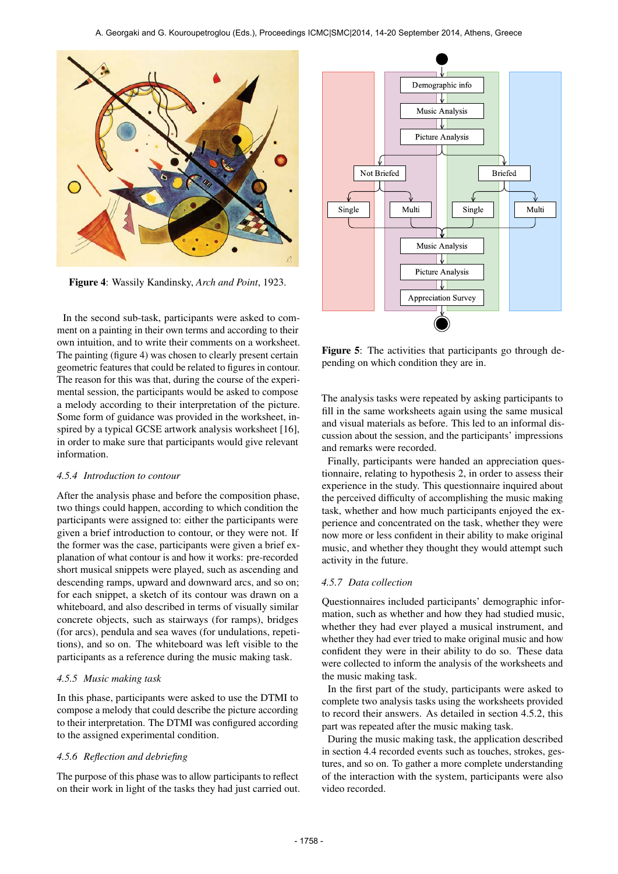

Figure 4: Wassily Kandinsky, *Arch and Point*, 1923.

In the second sub-task, participants were asked to comment on a painting in their own terms and according to their own intuition, and to write their comments on a worksheet. The painting (figure 4) was chosen to clearly present certain geometric features that could be related to figures in contour. The reason for this was that, during the course of the experimental session, the participants would be asked to compose a melody according to their interpretation of the picture. Some form of guidance was provided in the worksheet, inspired by a typical GCSE artwork analysis worksheet [16], in order to make sure that participants would give relevant information.

# *4.5.4 Introduction to contour*

After the analysis phase and before the composition phase, two things could happen, according to which condition the participants were assigned to: either the participants were given a brief introduction to contour, or they were not. If the former was the case, participants were given a brief explanation of what contour is and how it works: pre-recorded short musical snippets were played, such as ascending and descending ramps, upward and downward arcs, and so on; for each snippet, a sketch of its contour was drawn on a whiteboard, and also described in terms of visually similar concrete objects, such as stairways (for ramps), bridges (for arcs), pendula and sea waves (for undulations, repetitions), and so on. The whiteboard was left visible to the participants as a reference during the music making task.

#### *4.5.5 Music making task*

In this phase, participants were asked to use the DTMI to compose a melody that could describe the picture according to their interpretation. The DTMI was configured according to the assigned experimental condition.

#### *4.5.6 Reflection and debriefing*

The purpose of this phase was to allow participants to reflect on their work in light of the tasks they had just carried out.



Figure 5: The activities that participants go through depending on which condition they are in.

The analysis tasks were repeated by asking participants to fill in the same worksheets again using the same musical and visual materials as before. This led to an informal discussion about the session, and the participants' impressions and remarks were recorded.

Finally, participants were handed an appreciation questionnaire, relating to hypothesis 2, in order to assess their experience in the study. This questionnaire inquired about the perceived difficulty of accomplishing the music making task, whether and how much participants enjoyed the experience and concentrated on the task, whether they were now more or less confident in their ability to make original music, and whether they thought they would attempt such activity in the future.

#### *4.5.7 Data collection*

Questionnaires included participants' demographic information, such as whether and how they had studied music, whether they had ever played a musical instrument, and whether they had ever tried to make original music and how confident they were in their ability to do so. These data were collected to inform the analysis of the worksheets and the music making task.

In the first part of the study, participants were asked to complete two analysis tasks using the worksheets provided to record their answers. As detailed in section 4.5.2, this part was repeated after the music making task.

During the music making task, the application described in section 4.4 recorded events such as touches, strokes, gestures, and so on. To gather a more complete understanding of the interaction with the system, participants were also video recorded.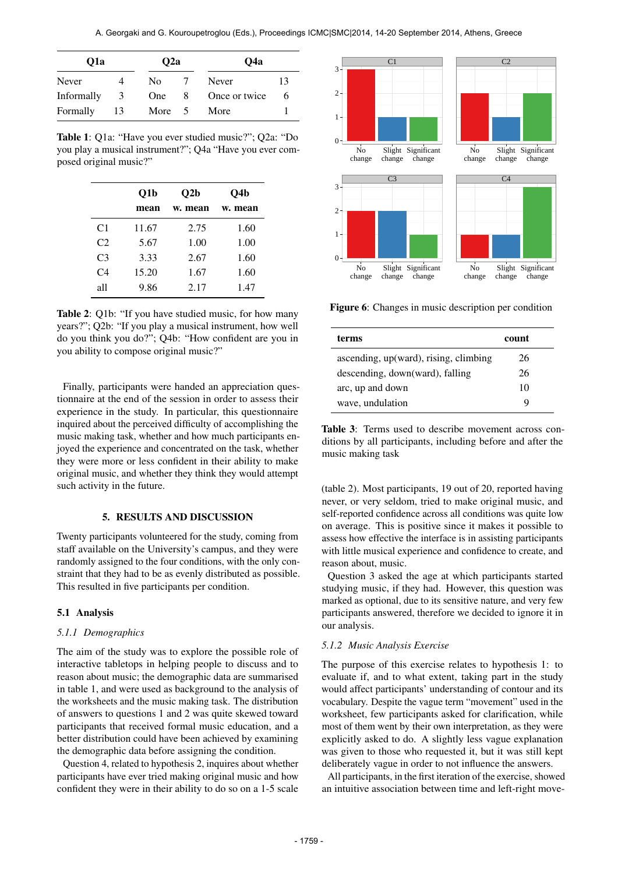| O1a        | Q <sub>2</sub> a |            | O4a |               |    |
|------------|------------------|------------|-----|---------------|----|
| Never      |                  | No         |     | Never         | 13 |
| Informally | 3                | <b>One</b> | 8   | Once or twice | 6  |
| Formally   | 13               | More 5     |     | More          |    |

Table 1: Q1a: "Have you ever studied music?"; Q2a: "Do you play a musical instrument?"; Q4a "Have you ever composed original music?"

|                | O1b   | O2b     | O4b     |  |
|----------------|-------|---------|---------|--|
|                | mean  | w. mean | w. mean |  |
| C <sub>1</sub> | 11.67 | 2.75    | 1.60    |  |
| C2             | 5.67  | 1.00    | 1.00    |  |
| C <sub>3</sub> | 3.33  | 2.67    | 1.60    |  |
| C4             | 15.20 | 1.67    | 1.60    |  |
| all            | 9.86  | 2.17    | 1.47    |  |

Table 2: Q1b: "If you have studied music, for how many years?"; Q2b: "If you play a musical instrument, how well do you think you do?"; Q4b: "How confident are you in you ability to compose original music?"

Finally, participants were handed an appreciation questionnaire at the end of the session in order to assess their experience in the study. In particular, this questionnaire inquired about the perceived difficulty of accomplishing the music making task, whether and how much participants enjoyed the experience and concentrated on the task, whether they were more or less confident in their ability to make original music, and whether they think they would attempt such activity in the future.

#### 5. RESULTS AND DISCUSSION

Twenty participants volunteered for the study, coming from staff available on the University's campus, and they were randomly assigned to the four conditions, with the only constraint that they had to be as evenly distributed as possible. This resulted in five participants per condition.

#### 5.1 Analysis

#### *5.1.1 Demographics*

The aim of the study was to explore the possible role of interactive tabletops in helping people to discuss and to reason about music; the demographic data are summarised in table 1, and were used as background to the analysis of the worksheets and the music making task. The distribution of answers to questions 1 and 2 was quite skewed toward participants that received formal music education, and a better distribution could have been achieved by examining the demographic data before assigning the condition.

Question 4, related to hypothesis 2, inquires about whether participants have ever tried making original music and how confident they were in their ability to do so on a 1-5 scale



Figure 6: Changes in music description per condition

| terms                                 | count |
|---------------------------------------|-------|
| ascending, up(ward), rising, climbing | 26    |
| descending, down(ward), falling       | 26    |
| arc, up and down                      | 10    |
| wave, undulation                      | g     |

Table 3: Terms used to describe movement across conditions by all participants, including before and after the music making task

(table 2). Most participants, 19 out of 20, reported having never, or very seldom, tried to make original music, and self-reported confidence across all conditions was quite low on average. This is positive since it makes it possible to assess how effective the interface is in assisting participants with little musical experience and confidence to create, and reason about, music.

Question 3 asked the age at which participants started studying music, if they had. However, this question was marked as optional, due to its sensitive nature, and very few participants answered, therefore we decided to ignore it in our analysis.

#### *5.1.2 Music Analysis Exercise*

The purpose of this exercise relates to hypothesis 1: to evaluate if, and to what extent, taking part in the study would affect participants' understanding of contour and its vocabulary. Despite the vague term "movement" used in the worksheet, few participants asked for clarification, while most of them went by their own interpretation, as they were explicitly asked to do. A slightly less vague explanation was given to those who requested it, but it was still kept deliberately vague in order to not influence the answers.

All participants, in the first iteration of the exercise, showed an intuitive association between time and left-right move-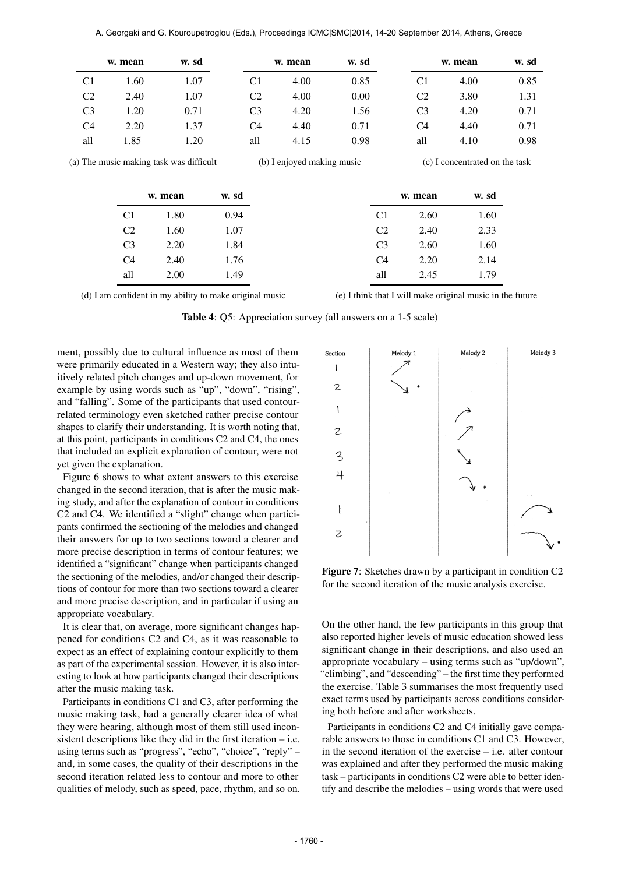|       |                |                                                   | w. sd                     |      |                |                                       | w. sd                                         | w. mean                              |                                                                      |
|-------|----------------|---------------------------------------------------|---------------------------|------|----------------|---------------------------------------|-----------------------------------------------|--------------------------------------|----------------------------------------------------------------------|
| 4.00  | C <sub>1</sub> |                                                   | 0.85                      | 4.00 | C <sub>1</sub> |                                       |                                               | 1.60                                 | C <sub>1</sub>                                                       |
| 3.80  | C <sub>2</sub> |                                                   | 0.00                      | 4.00 | C <sub>2</sub> |                                       |                                               | 2.40                                 | C <sub>2</sub>                                                       |
| 4.20  | C <sub>3</sub> |                                                   | 1.56                      | 4.20 | C <sub>3</sub> |                                       | 0.71                                          | 1.20                                 | C <sub>3</sub>                                                       |
| 4.40  | C <sub>4</sub> |                                                   | 0.71                      | 4.40 | C <sub>4</sub> |                                       |                                               | 2.20                                 | C <sub>4</sub>                                                       |
| 4.10  | all            |                                                   | 0.98                      | 4.15 | all            |                                       |                                               | 1.85                                 | all                                                                  |
| w. sd |                |                                                   |                           |      |                |                                       |                                               |                                      |                                                                      |
|       |                |                                                   |                           |      |                |                                       |                                               |                                      |                                                                      |
|       |                |                                                   |                           |      |                |                                       |                                               |                                      |                                                                      |
| 2.33  | 2.40           | C <sub>2</sub>                                    |                           |      |                |                                       | 1.60                                          | C <sub>2</sub>                       |                                                                      |
| 1.60  | 2.60           | C <sub>3</sub>                                    |                           |      |                |                                       | 2.20                                          | C <sub>3</sub>                       |                                                                      |
| 2.14  | 2.20           | C <sub>4</sub>                                    |                           |      |                |                                       | 2.40                                          | C <sub>4</sub>                       |                                                                      |
| 1.79  | 2.45           | all                                               |                           |      |                |                                       | 2.00                                          | all                                  |                                                                      |
|       | 1.60           | w. mean<br>(c) I concentrated on the task<br>2.60 | w. mean<br>C <sub>1</sub> |      |                | w. mean<br>(b) I enjoyed making music | w. sd<br>0.94<br>1.07<br>1.84<br>1.76<br>1.49 | 1.07<br>1.07<br>1.37<br>1.20<br>1.80 | (a) The music making task was difficult<br>w. mean<br>C <sub>1</sub> |

(d) I am confident in my ability to make original music

(e) I think that I will make original music in the future

Table 4: Q5: Appreciation survey (all answers on a 1-5 scale)

ment, possibly due to cultural influence as most of them were primarily educated in a Western way; they also intuitively related pitch changes and up-down movement, for example by using words such as "up", "down", "rising", and "falling". Some of the participants that used contourrelated terminology even sketched rather precise contour shapes to clarify their understanding. It is worth noting that, at this point, participants in conditions C2 and C4, the ones that included an explicit explanation of contour, were not yet given the explanation.

Figure 6 shows to what extent answers to this exercise changed in the second iteration, that is after the music making study, and after the explanation of contour in conditions C2 and C4. We identified a "slight" change when participants confirmed the sectioning of the melodies and changed their answers for up to two sections toward a clearer and more precise description in terms of contour features; we identified a "significant" change when participants changed the sectioning of the melodies, and/or changed their descriptions of contour for more than two sections toward a clearer and more precise description, and in particular if using an appropriate vocabulary.

It is clear that, on average, more significant changes happened for conditions C2 and C4, as it was reasonable to expect as an effect of explaining contour explicitly to them as part of the experimental session. However, it is also interesting to look at how participants changed their descriptions after the music making task.

Participants in conditions C1 and C3, after performing the music making task, had a generally clearer idea of what they were hearing, although most of them still used inconsistent descriptions like they did in the first iteration – i.e. using terms such as "progress", "echo", "choice", "reply" – and, in some cases, the quality of their descriptions in the second iteration related less to contour and more to other qualities of melody, such as speed, pace, rhythm, and so on.



Figure 7: Sketches drawn by a participant in condition C2 for the second iteration of the music analysis exercise.

On the other hand, the few participants in this group that also reported higher levels of music education showed less significant change in their descriptions, and also used an appropriate vocabulary – using terms such as "up/down", "climbing", and "descending" – the first time they performed the exercise. Table 3 summarises the most frequently used exact terms used by participants across conditions considering both before and after worksheets.

Participants in conditions C2 and C4 initially gave comparable answers to those in conditions C1 and C3. However, in the second iteration of the exercise – i.e. after contour was explained and after they performed the music making task – participants in conditions C2 were able to better identify and describe the melodies – using words that were used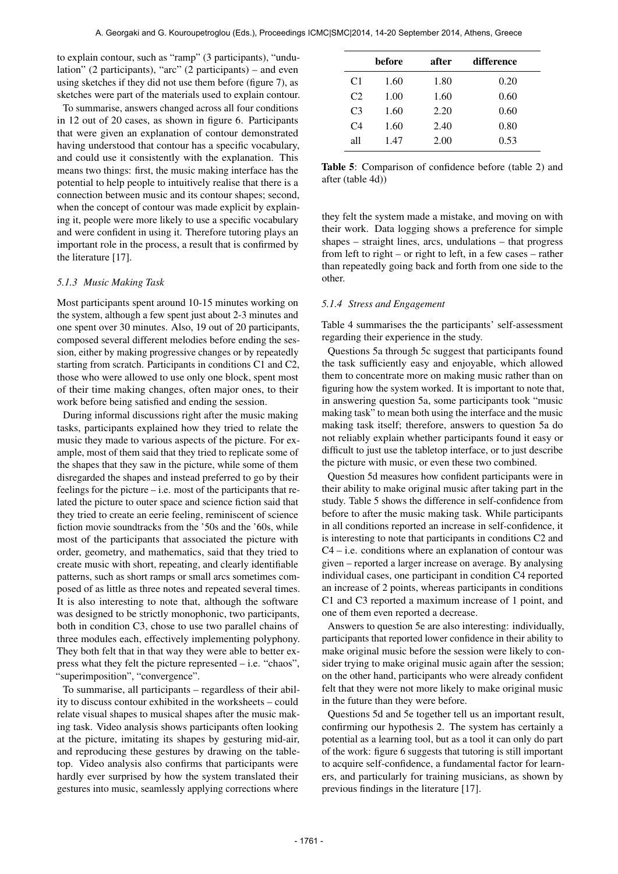to explain contour, such as "ramp" (3 participants), "undulation" (2 participants), "arc" (2 participants) – and even using sketches if they did not use them before (figure 7), as sketches were part of the materials used to explain contour.

To summarise, answers changed across all four conditions in 12 out of 20 cases, as shown in figure 6. Participants that were given an explanation of contour demonstrated having understood that contour has a specific vocabulary, and could use it consistently with the explanation. This means two things: first, the music making interface has the potential to help people to intuitively realise that there is a connection between music and its contour shapes; second, when the concept of contour was made explicit by explaining it, people were more likely to use a specific vocabulary and were confident in using it. Therefore tutoring plays an important role in the process, a result that is confirmed by the literature [17].

#### *5.1.3 Music Making Task*

Most participants spent around 10-15 minutes working on the system, although a few spent just about 2-3 minutes and one spent over 30 minutes. Also, 19 out of 20 participants, composed several different melodies before ending the session, either by making progressive changes or by repeatedly starting from scratch. Participants in conditions C1 and C2, those who were allowed to use only one block, spent most of their time making changes, often major ones, to their work before being satisfied and ending the session.

During informal discussions right after the music making tasks, participants explained how they tried to relate the music they made to various aspects of the picture. For example, most of them said that they tried to replicate some of the shapes that they saw in the picture, while some of them disregarded the shapes and instead preferred to go by their feelings for the picture – i.e. most of the participants that related the picture to outer space and science fiction said that they tried to create an eerie feeling, reminiscent of science fiction movie soundtracks from the '50s and the '60s, while most of the participants that associated the picture with order, geometry, and mathematics, said that they tried to create music with short, repeating, and clearly identifiable patterns, such as short ramps or small arcs sometimes composed of as little as three notes and repeated several times. It is also interesting to note that, although the software was designed to be strictly monophonic, two participants, both in condition C3, chose to use two parallel chains of three modules each, effectively implementing polyphony. They both felt that in that way they were able to better express what they felt the picture represented – i.e. "chaos", "superimposition", "convergence".

To summarise, all participants – regardless of their ability to discuss contour exhibited in the worksheets – could relate visual shapes to musical shapes after the music making task. Video analysis shows participants often looking at the picture, imitating its shapes by gesturing mid-air, and reproducing these gestures by drawing on the tabletop. Video analysis also confirms that participants were hardly ever surprised by how the system translated their gestures into music, seamlessly applying corrections where

| before | after | difference |  |
|--------|-------|------------|--|
| 1.60   | 1.80  | 0.20       |  |
| 1.00   | 1.60  | 0.60       |  |
| 1.60   | 2.20  | 0.60       |  |
| 1.60   | 2.40  | 0.80       |  |
| 1.47   | 2.00  | 0.53       |  |
|        |       |            |  |

Table 5: Comparison of confidence before (table 2) and after (table 4d))

they felt the system made a mistake, and moving on with their work. Data logging shows a preference for simple shapes – straight lines, arcs, undulations – that progress from left to right – or right to left, in a few cases – rather than repeatedly going back and forth from one side to the other.

#### *5.1.4 Stress and Engagement*

Table 4 summarises the the participants' self-assessment regarding their experience in the study.

Questions 5a through 5c suggest that participants found the task sufficiently easy and enjoyable, which allowed them to concentrate more on making music rather than on figuring how the system worked. It is important to note that, in answering question 5a, some participants took "music making task" to mean both using the interface and the music making task itself; therefore, answers to question 5a do not reliably explain whether participants found it easy or difficult to just use the tabletop interface, or to just describe the picture with music, or even these two combined.

Question 5d measures how confident participants were in their ability to make original music after taking part in the study. Table 5 shows the difference in self-confidence from before to after the music making task. While participants in all conditions reported an increase in self-confidence, it is interesting to note that participants in conditions C2 and  $C4 - i.e.$  conditions where an explanation of contour was given – reported a larger increase on average. By analysing individual cases, one participant in condition C4 reported an increase of 2 points, whereas participants in conditions C1 and C3 reported a maximum increase of 1 point, and one of them even reported a decrease.

Answers to question 5e are also interesting: individually, participants that reported lower confidence in their ability to make original music before the session were likely to consider trying to make original music again after the session; on the other hand, participants who were already confident felt that they were not more likely to make original music in the future than they were before.

Questions 5d and 5e together tell us an important result, confirming our hypothesis 2. The system has certainly a potential as a learning tool, but as a tool it can only do part of the work: figure 6 suggests that tutoring is still important to acquire self-confidence, a fundamental factor for learners, and particularly for training musicians, as shown by previous findings in the literature [17].